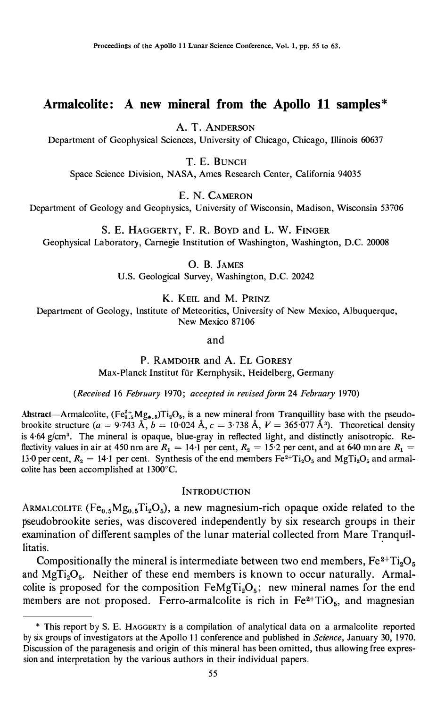# Armalcolite: A new mineral from the Apollo 11 samples\*

A. T. ANDERSON

Department of Geophysical Sciences, University of Chicago, Chicago, Illinois 60637

T. E. BUNC<sup>H</sup>

Space Science Division, NASA, Ames Research Center, California 94035

E. N. CAMERON

Department of Geotogy and Geophysics, University of Wisconsin, Madison, Wisconsin 53706

S. E. HAGGERTY, F. R. BoYD and L. W. FINGER Geophysical Laboratory, Carnegie Institution of Washington, Washington, D.C. 20008

> 0. B. JAMES U.S. Geological Survey, Washington, D.C. 20242

> > K. KEIL and M. PRINZ

Department of Geology, lnstitute of Meteoritics, University of New Mexico, Albuquerque, New Mexico 87106

and

P. RAMDOHR and A. EL GORESY Max-Planck Institut für Kernphysik, Heidelberg, Germany

(Received 16 February 1970; aceepted in revised form 24 February 1970)

Abstract—Armalcolite,  $(Fe_{0.5}^{2+}Mg_{0.5})Ti_2O_5$ , is a new mineral from Tranquillity base with the pseudobrookite structure  $(a = 9.743 \text{ Å}, b = 10.024 \text{ Å}, c = 3.738 \text{ Å}, V = 365.077 \text{ Å}^3$ . Theoretical density is 4.64 g/cm<sup>3</sup>. The mineral is opaque, blue-gray in reflected light, and distinctly anisotropic. Reflectivity values in air at 450 nm are  $R_1 = 14 \cdot 1$  per cent,  $R_2 = 15 \cdot 2$  per cent, and at 640 mn are  $R_1 =$ 13.0 per cent,  $R_2 = 14.1$  per cent. Synthesis of the end members  $Fe^{2+}Ti_2O_5$  and MgTi<sub>2</sub>O<sub>5</sub> and armalcolite has been accomplished at 1300°C.

## **INTRODUCTION**

ARMALCOLITE (Fe<sub>0.5</sub>Mg<sub>0.5</sub>Ti<sub>2</sub>O<sub>5</sub>), a new magnesium-rich opaque oxide related to the pseudobrookite series, was discovered independently by six research groups in their examination of different samples of the lunar material collected from Mare Tranquillitatis.

Compositionally the mineral is intermediate between two end members,  $Fe^{2+}Ti_2O_5$ and MgTi<sub>2</sub>O<sub>5</sub>. Neither of these end members is known to occur naturally. Armalcolite is proposed for the composition  $FeMgTi<sub>2</sub>O<sub>5</sub>$ ; new mineral names for the end members are not proposed. Ferro-armalcolite is rich in  $Fe<sup>2+</sup>TiO<sub>5</sub>$ , and magnesian

<sup>\*</sup> This report by S. E. HAGGERTY is a compilation of analytical data on a armalcolite reported by six groups of investigators at the Apollo 11 conference and published in Science, January 30, 1970. Discussion of the paragenesis and origin of this mineral has been omitted, thus allowing free expression and interpretation by the various authors in their individual papers.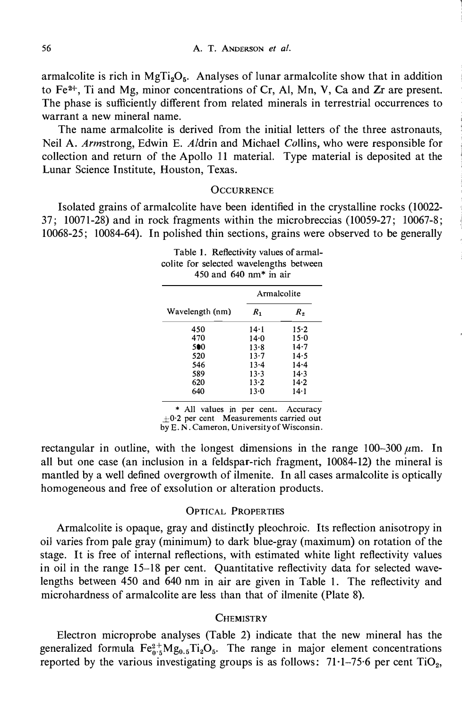armalcolite is rich in MgTi<sub>2</sub>O<sub>5</sub>. Analyses of lunar armalcolite show that in addition to Fe2+, Ti and Mg, minor concentrations of Cr, Al, Mn, V, Ca and Zr are present. The phase is sufficiently different from related minerals in terrestrial occurrences to warrant a new mineral name.

The name armalcolite is derived from the initial letters of the three astronauts, Neil A. Armstrong, Edwin E. Aldrin and Michael Collins, who were responsible for collection and return of the Apollo 11 material. Type material is deposited at the Lunar Science Institute, Houston, Texas.

#### **OCCURRENCE**

Isolated grains of armalcolite have been identified in the crystalline rocks (10022- 37; 10071-28) and in rock fragments within the micro breccias (10059-27; 10067-8; 10068-25; 10084-64). In polished thin sections, grains were observed to be generally

| Table 1. Reflectivity values of armal-<br>colite for selected wavelengths between<br>450 and $640$ nm* in air |             |          |  |  |  |
|---------------------------------------------------------------------------------------------------------------|-------------|----------|--|--|--|
|                                                                                                               | Armalcolite |          |  |  |  |
| Wavelength (nm)                                                                                               | $R_{1}$     | R,       |  |  |  |
| 450                                                                                                           | 14·1        | 15.2     |  |  |  |
| 470                                                                                                           | $14 - 0$    | $15-0$   |  |  |  |
| 500                                                                                                           | $13-8$      | $14 - 7$ |  |  |  |
| 520                                                                                                           | $13 - 7$    | 14.5     |  |  |  |
| 546                                                                                                           | $13 - 4$    | $14 - 4$ |  |  |  |
| 589                                                                                                           | $13 - 3$    | 14.3     |  |  |  |
| 620                                                                                                           | $13 - 2$    | 14.2     |  |  |  |
| 640                                                                                                           | $13-0$      | 14-1     |  |  |  |

\* All values in per cent. Accuracy  $\pm 0.2$  per cent Measurements carried out by E. N. Cameron, University of Wisconsin.

rectangular in outline, with the longest dimensions in the range  $100-300 \mu m$ . In all but one case (an inclusion in a feldspar-rich fragment, 10084-12) the mineral is mantled by a well defined overgrowth of ilmenite. In all cases armalcolite is optically homogeneous and free of exsolution or alteration products.

## OPTICAL PROPERTIES

Armalcolite is opaque, gray and distinctly pleochroic. Its reflection anisotropy in oil varies from pale gray (minimum) to dark blue-gray (maximum) on rotation of the stage. It is free of internal reflections, with estimated white light reflectivity values in oil in the range 15-18 per cent. Quantitative reflectivity data for selected wavelengths between 450 and 640 nm in air are given in Table 1. The reflectivity and microhardness of armalcolite are less than that of ilmenite {Plate 8).

#### **CHEMISTRY**

Electron microprobe analyses (Table 2) indicate that the new mineral has the generalized formula  $Fe_{0.5}^{2+}Mg_{0.5}Ti_2O_5$ . The range in major element concentrations reported by the various investigating groups is as follows:  $71 \cdot 1 - 75 \cdot 6$  per cent TiO<sub>2</sub>,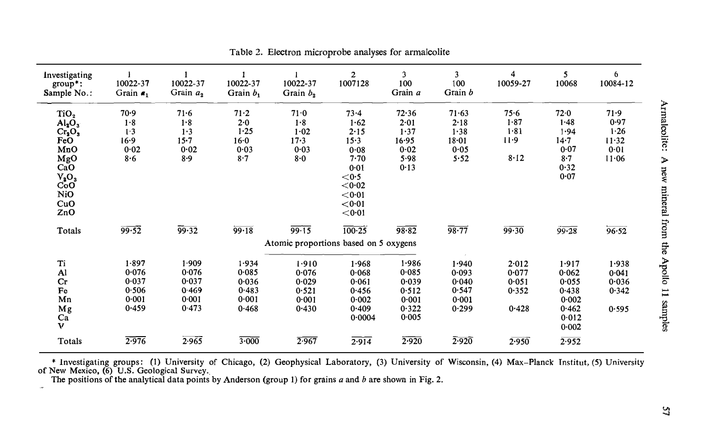| Investigating<br>group*:<br>Sample No.:                                                                        | 10022-37<br>Grain $a_1$                                | 10022-37<br>Grain $a_2$                            | 10022-37<br>Grain b,                                         | 10022-37<br>Grain $b_2$                            | $\overline{2}$<br>1007128                                                                                   | 3<br>100<br>Grain a                                         | $\overline{3}$<br>100<br>Grain b                       | 4<br>10059-27                              | 5<br>10068                                                           | 6<br>10084-12                                      |
|----------------------------------------------------------------------------------------------------------------|--------------------------------------------------------|----------------------------------------------------|--------------------------------------------------------------|----------------------------------------------------|-------------------------------------------------------------------------------------------------------------|-------------------------------------------------------------|--------------------------------------------------------|--------------------------------------------|----------------------------------------------------------------------|----------------------------------------------------|
| TiO <sub>2</sub><br>$Al_2O_3$<br>$Cr_2O_3$<br>FeO<br>MnO<br>MgO<br>CaO<br>$V_2O_3$<br>CoO<br>NiO<br>CuO<br>ZnO | 70.9<br>1.8<br>1.3<br>16.9<br>0.02<br>8.6              | $71 - 6$<br>1.8<br>1.3<br>$15 - 7$<br>0.02<br>8.9  | $71 - 2$<br>$2 - 0$<br>$1 - 25$<br>$16 - 0$<br>0.03<br>$8-7$ | 71.0<br>1.8<br>1.02<br>$17 - 3$<br>0.03<br>8.0     | 73.4<br>1.62<br>$2 - 15$<br>15.3<br>0.08<br>7.70<br>0.01<br>$<$ 0.5<br>< 0.02<br>< 0.01<br>< 0.01<br>< 0.01 | 72.36<br>2.01<br>1.37<br>16.95<br>$0 - 02$<br>5.98<br>0.13  | $71 - 63$<br>2.18<br>1.38<br>$18 - 01$<br>0.05<br>5.52 | 75.6<br>$1 - 87$<br>1.81<br>$11-9$<br>8.12 | 72.0<br>$1 - 48$<br>1.94<br>14.7<br>0.07<br>$8-7$<br>0.32<br>0.07    | 71.9<br>0.97<br>1.26<br>$11 - 32$<br>0.01<br>11.06 |
| Totals                                                                                                         | 99.52                                                  | 99.32                                              | 99.18                                                        | 99.15                                              | $100 - 25$                                                                                                  | 98.82                                                       | 98.77                                                  | 99.30                                      | 99.28                                                                | 96.52                                              |
|                                                                                                                |                                                        |                                                    |                                                              | Atomic proportions based on 5 oxygens              |                                                                                                             |                                                             |                                                        |                                            |                                                                      |                                                    |
| Ti<br>Al<br>Cr<br>Fe<br>Mn<br>Mg<br>Ca<br>V                                                                    | 1.897<br>0.076<br>$0 - 037$<br>0.506<br>0.001<br>0.459 | 1.909<br>0.076<br>0.037<br>0.469<br>0.001<br>0.473 | 1.934<br>0.085<br>0.036<br>0.483<br>0.001<br>0.468           | 1.910<br>0.076<br>0.029<br>0.521<br>0.001<br>0.430 | 1.968<br>0.068<br>0.061<br>0.456<br>0.002<br>0.409<br>0.0004                                                | 1.986<br>0.085<br>0.039<br>0.512<br>0.001<br>0.322<br>0.005 | 1.940<br>0.093<br>0.040<br>0.547<br>0.001<br>0.299     | 2.012<br>0.077<br>0.051<br>0.352<br>0.428  | 1.917<br>0.062<br>0.055<br>0.438<br>0.002<br>0.462<br>0.012<br>0.002 | 1.938<br>0.041<br>0.036<br>0.342<br>0.595          |
| Totals                                                                                                         | 2.976                                                  | 2.965                                              | 3.000                                                        | 2.967                                              | 2.914                                                                                                       | 2.920                                                       | 2.920                                                  | 2.950                                      | 2.952                                                                |                                                    |

Table 2. Electron microprobe analyses for armalcolite

\* Investigating groups: (1) University of Chicago, (2) Geophysical Laboratory, (3) University of Wisconsin, (4) Max-Planck Institut, (5) University of New Mexico, (6) U.S. Geological Survey.<br>The positions of the analytical

 $\omega_{\rm P}$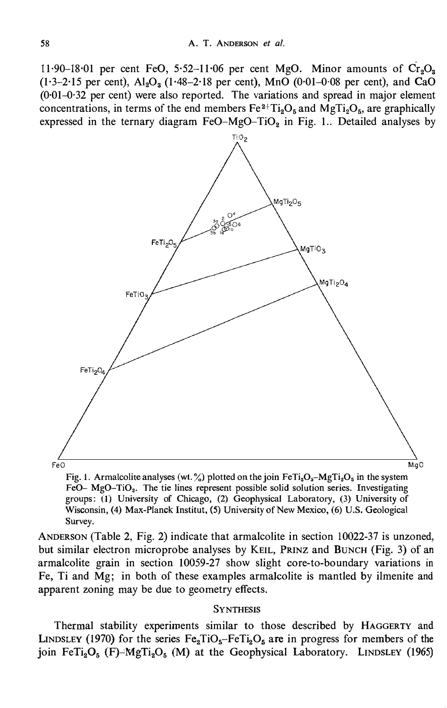11.90–18.01 per cent FeO, 5.52–11.06 per cent MgO. Minor amounts of  $Cr_2O_3$  $(1·3-2·15$  per cent),  $Al_2O_3$  (1·48-2·18 per cent), MnO (0·01-0·08 per cent), and CaO (0·01-0·32 per cent) were also reported. The variations and spread in major element concentrations, in terms of the end members  $Fe^{2+}Ti_2O_5$  and MgTi<sub>2</sub>O<sub>5</sub>, are graphically expressed in the ternary diagram FeO-MgO-TiO<sub>2</sub> in Fig. 1.. Detailed analyses by



Fig. 1. Armalcolite analyses (wt. %) plotted on the join  $FeTi<sub>2</sub>O<sub>5</sub> - MgTi<sub>2</sub>O<sub>5</sub>$  in the system FeO- MgO-TiO<sub>2</sub>. The tie lines represent possible solid solution series. Investigating groups: (1) University of Chicago, (2) Geophysical Laboratory, (3) University of Wisconsin, (4) Max-Planck Institut, (5) University of New M�xico, (6) U.S. Geological Survey.

ANDERSON (Table 2, Fig. 2) indicate that armalcolite in section 10022-37 is unzoned, but similar electron microprobe analyses by KEIL, PRINZ and BuNCH (Fig. 3) of an armalcolite grain in section 10059-27 show slight core-to-boundary variations in Fe, Ti and Mg; in both of these examples armalcolite is mantled by ilmenite and apparent zoning may be due to geometry effects.

## **SYNTHESIS**

Thermal stability experiments similar to those described by HAGGERTY and LINDSLEY (1970) for the series  $Fe<sub>2</sub>TiO<sub>5</sub>-FeTi<sub>2</sub>O<sub>5</sub>$  are in progress for members of the join Fe $Ti_2O_5$  (F)-MgTi<sub>2</sub>O<sub>5</sub> (M) at the Geophysical Laboratory. LINDSLEY (1965)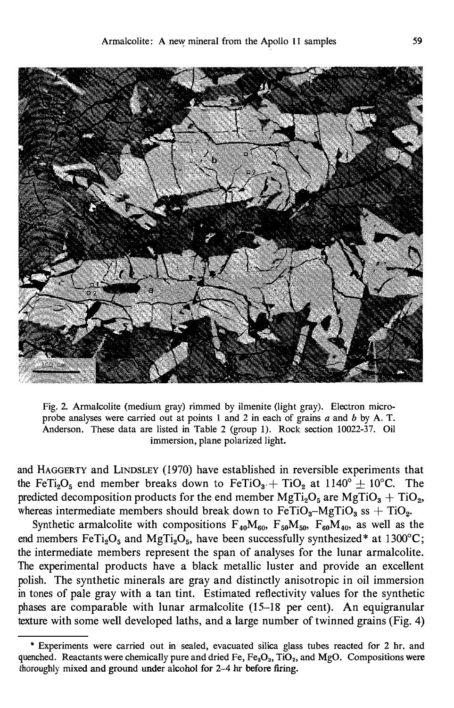

Fig. 2. Armalcolite (medium gray) rimmed by ilmenite (light gray). Electron microprobe analyses were carried out at points 1 and 2 in each of grains  $a$  and  $b$  by A. T. Anderson. These data are listed in Table 2 (group 1). Rock section 10022-37. Oil immersion, plane polarized light.

and HAGGERTY and LINDSLEY (1970) have established in reversible experiments that the FeTi<sub>2</sub>O<sub>5</sub> end member breaks down to FeTiO<sub>3</sub> + TiO<sub>2</sub> at 1140<sup>o</sup>  $\pm$  10<sup>o</sup>C. The predicted decomposition products for the end member  $MgTi<sub>2</sub>O<sub>5</sub>$  are  $MgTiO<sub>3</sub> + TiO<sub>2</sub>$ , whereas intermediate members should break down to  $FeTiO<sub>3</sub> - MgTiO<sub>3</sub>$  ss + TiO<sub>2</sub>.

Synthetic armalcolite with compositions  $F_{40}M_{60}$ ,  $F_{50}M_{50}$ ,  $F_{60}M_{40}$ , as well as the end members FeTi<sub>2</sub>O<sub>5</sub> and MgTi<sub>2</sub>O<sub>5</sub>, have been successfully synthesized\* at 1300°C; the intermediate members represent the span of analyses for the lunar armalcolite. The experimental products have a black metallic luster and provide an excellent polish. The synthetic minerals are gray and distinctly anisotropic in oil immersion in tones of pale gray with a tan tint. Estimated reflectivity values for the synthetic phases are comparable with lunar armalcolite (15-18 per cent). An equigranular texture with some well developed laths, and a large number of twinned grains (Fig. 4)

<sup>\*</sup> Experiments were carried out in sealed, evacuated silica glass tubes reacted for 2 hr. and quenched. Reactants were chemically pure and dried Fe,  $Fe<sub>2</sub>O<sub>3</sub>$ , TiO<sub>2</sub>, and MgO. Compositions were thoroughly mixed and ground under alcohol for 2-4 hr before firing.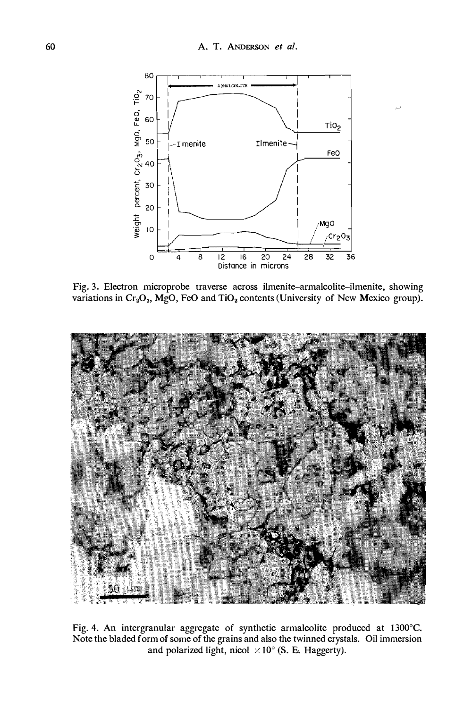

Fig. 3. Electron microprobe traverse across ilmenite-armalcolite-ilmenite, showing variations in  $Cr_2O_3$ , MgO, FeO and TiO<sub>2</sub> contents (University of New Mexico group).



Fig. 4. An intergranular aggregate of synthetic armalcolite produced at 1300°C. Note the bladed form of some of the grains and also the twinned crystals. Oil immersion and polarized light, nicol  $\times 10^{\circ}$  (S. E. Haggerty).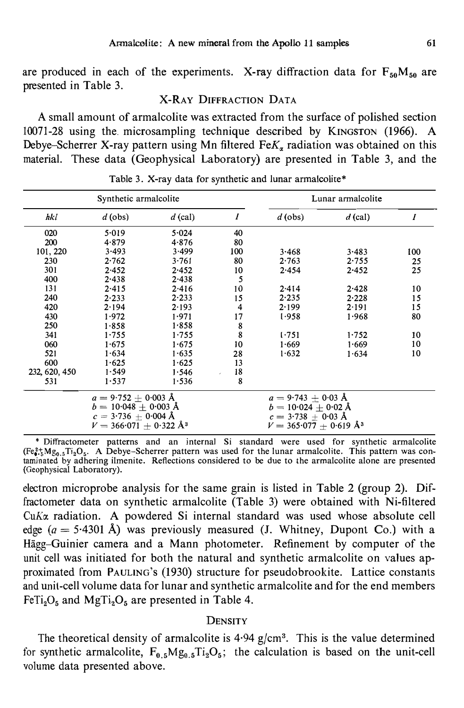are produced in each of the experiments. X-ray diffraction data for  $F_{50}M_{50}$  are presented in Table 3.

## X-RAY DIFFRACTION DATA

A small amount of armalcolite was extracted from the surface of polished section 10071-28 using the. microsampling technique described by KINGSTON (1966). A Debye-Scherrer X-ray pattern using Mn filtered Fe $K_{\alpha}$  radiation was obtained on this material. These data (Geophysical Laboratory) are presented in Table 3, and the

| Synthetic armalcolite |                                               |           |     | Lunar armalcolite                 |           |     |  |
|-----------------------|-----------------------------------------------|-----------|-----|-----------------------------------|-----------|-----|--|
| hkl                   | $d$ (obs)                                     | $d$ (cal) | I   | $d$ (obs)                         | $d$ (cal) | 1   |  |
| 020                   | 5.019                                         | 5.024     | 40  |                                   |           |     |  |
| 200                   | 4.879                                         | 4.876     | 80  |                                   |           |     |  |
| 101, 220              | 3.493                                         | 3.499     | 100 | 3.468                             | 3.483     | 100 |  |
| 230                   | 2.762                                         | 3.761     | 80  | 2.763                             | 2.755     | 25  |  |
| 301                   | 2.452                                         | 2.452     | 10  | 2.454                             | 2.452     | 25  |  |
| 400                   | 2.438                                         | $2 - 438$ | 5   |                                   |           |     |  |
| 131                   | $2 - 415$                                     | 2.416     | 10  | $2 - 414$                         | 2.428     | 10  |  |
| 240                   | $2 - 233$                                     | $2 - 233$ | 15  | 2.235                             | 2.228     | 15  |  |
| 420                   | 2.194                                         | 2.193     | 4   | 2.199                             | 2.191     | 15  |  |
| 430                   | 1.972                                         | 1.971     | 17  | 1.958                             | 1.968     | 80  |  |
| 250                   | 1.858                                         | 1.858     | 8   |                                   |           |     |  |
| 341                   | 1.755                                         | 1.755     | 8   | 1.751                             | 1.752     | 10  |  |
| 060                   | 1.675                                         | 1.675     | 10  | 1.669                             | 1.669     | 10  |  |
| 521                   | 1.634                                         | 1.635     | 28  | 1.632                             | 1.634     | 10  |  |
| 600                   | 1.625                                         | 1.625     | 13  |                                   |           |     |  |
| 232, 620, 450         | 1.549                                         | 1.546     | 18  |                                   |           |     |  |
| 531                   | 1.537                                         | 1.536     | 8   |                                   |           |     |  |
|                       | $a = 9.752 \pm 0.003$ Å                       |           |     | $a = 9.743 + 0.03$ Å              |           |     |  |
|                       | $b = 10.048 + 0.003$ Å                        |           |     | $b = 10.024 + 0.02$ Å             |           |     |  |
|                       | $c = 3.736 + 0.004$ Å<br>$c = 3.738 + 0.03$ Å |           |     |                                   |           |     |  |
|                       | $V = 366.071 + 0.322 \text{ Å}^3$             |           |     | $V = 365.077 + 0.619 \text{ Å}^3$ |           |     |  |

Table 3. X-ray data for synthetic and lunar armalcolite\*

\* Diffractometer patterns and an internal Si standard were used for synthetic armalcolite  $(F\epsilon_{\bullet}^{2*}Mg_{0.5}Ti_{2}O_{5}$ . A Debye-Scherrer pattern was used for the lunar armalcolite. This pattern was contaminated by adhering ilmenite. Reflections considered to be due to the armalcolite alone are presented (Geophysical Laboratory).

electron microprobe analysis for the same grain is listed in Table 2 (group 2). Diffractometer data on synthetic armalcolite (Table 3) were obtained with Ni-filtered  $CuK\alpha$  radiation. A powdered Si internal standard was used whose absolute cell edge ( $a = 5.4301$  Å) was previously measured (J. Whitney, Dupont Co.) with a Hägg-Guinier camera and a Mann photometer. Refinement by computer of the unit cell was initiated for both the natural and synthetic armalcolite on values approximated from PAULING's (1930) structure for pseudobrookite. Lattice constants and unit-cell volume data for lunar and synthetic armalcolite and for the end members  $F\in\text{Ti}_2\text{O}_5$  and  $\text{MgTi}_2\text{O}_5$  are presented in Table 4.

## **DENSITY**

The theoretical density of armalcolite is  $4.94$  g/cm<sup>3</sup>. This is the value determined for synthetic armalcolite,  $F_{0.5}Mg_{0.5}Ti_2O_5$ ; the calculation is based on the unit-cell volume data presented above.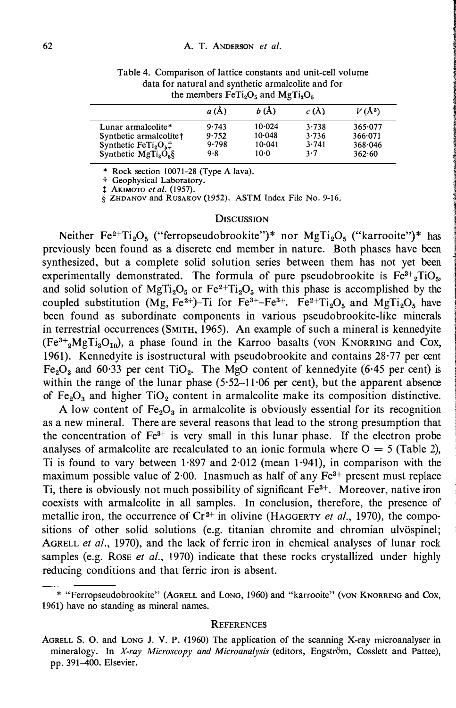|                                                                                                           | a(A)                           | b(A)                                   | c(A)                           | $V(\AA^3)$                              |  |  |
|-----------------------------------------------------------------------------------------------------------|--------------------------------|----------------------------------------|--------------------------------|-----------------------------------------|--|--|
| Lunar armalcolite*<br>Synthetic armalcolite†<br>Synthetic $FeTi2O5$ <sup>+</sup><br>Synthetic $MgTi2O5$ § | 9.743<br>9.752<br>9.798<br>9.8 | 10.024<br>$10-048$<br>$10-041$<br>10-0 | 3.738<br>3.736<br>3.741<br>3.7 | 365.077<br>366.071<br>368.046<br>362.60 |  |  |

Table 4. Comparison of lattice constants and unit-cell volume data for natural and synthetic armalcolite and for the members  $FeTi<sub>2</sub>O<sub>5</sub>$  and  $MgTi<sub>2</sub>O<sub>5</sub>$ 

\* Rock section 10071-28 (Type A lava).

† Geophysical Laboratory.<br>‡ AKIMOTO *et al*. (1957).

§ ZHDANOV and RusAKOV (1952). ASTM Index File No. 9-16.

#### **DISCUSSION**

Neither  $Fe^{2+}Ti_2O_5$  ("ferropseudobrookite")\* nor MgTi<sub>2</sub>O<sub>5</sub> ("karrooite")\* has previously been found as a discrete end member in nature. Both phases have been synthesized, but a complete solid solution series between them has not yet been experimentally demonstrated. The formula of pure pseudobrookite is  $Fe^{3+}{}_{2}TiO_{5}$ , and solid solution of MgTi<sub>2</sub>O<sub>5</sub> or Fe<sup>2+</sup>Ti<sub>2</sub>O<sub>5</sub> with this phase is accomplished by the coupled substitution (Mg, Fe<sup>2+</sup>)-Ti for Fe<sup>3+</sup>-Fe<sup>3+</sup>. Fe<sup>2+</sup>Ti<sub>2</sub>O<sub>5</sub> and MgTi<sub>2</sub>O<sub>5</sub> have been found as subordinate components in various pseudobrookite-like minerals in terrestrial occurrences (SMITH, 1965). An example of such a mineral is kennedyite  $(Fe^{3}+_{2}MgTi_{3}O_{10})$ , a phase found in the Karroo basalts (von KNORRING and Cox, 1961). Kennedyite is isostructural with pseudobrookite and contains 28·77 per cent Fe<sub>2</sub>O<sub>3</sub> and 60.33 per cent TiO<sub>2</sub>. The MgO content of kennedyite (6.45 per cent) is within the range of the lunar phase  $(5.52-11.06$  per cent), but the apparent absence of  $Fe<sub>2</sub>O<sub>3</sub>$  and higher TiO<sub>2</sub> content in armalcolite make its composition distinctive.

A low content of  $Fe<sub>2</sub>O<sub>3</sub>$  in armalcolite is obviously essential for its recognition as a new mineral. There are several reasons that lead to the strong presumption that the concentration of  $Fe<sup>3+</sup>$  is very small in this lunar phase. If the electron probe analyses of armalcolite are recalculated to an ionic formula where  $O = 5$  (Table 2), Ti is found to vary between  $1.897$  and  $2.012$  (mean  $1.941$ ), in comparison with the maximum possible value of  $2.00$ . Inasmuch as half of any  $Fe<sup>3+</sup>$  present must replace Ti, there is obviously not much possibility of significant Fe3+. Moreover, native iron coexists with armalcolite in all samples. In conclusion, therefore, the presence of metallic iron, the occurrence of  $Cr^{2+}$  in olivine (HAGGERTY *et al.*, 1970), the compositions of other solid solutions (e.g. titanian chromite and chromian ulvöspinel; AGRELL et al., 1970), and the lack of ferric iron in chemical analyses of lunar rock samples (e.g. Rose et al., 1970) indicate that these rocks crystallized under highly reducing conditions and that ferric iron is absent.

#### **REFERENCES**

<sup>\* &</sup>quot;Ferropseudobrookite" (AGRELL and Long, 1960) and "karrooite" (von KNORRING and Cox, 1961) have no standing as mineral names.

AGRELL S. 0. and LoNG J. V. P. (1960) The application of the scanning X-ray microanalyser in mineralogy. In X-ray Microscopy and Microanalysis (editors, Engström, Cosslett and Pattee), pp. 391-400. Elsevier.